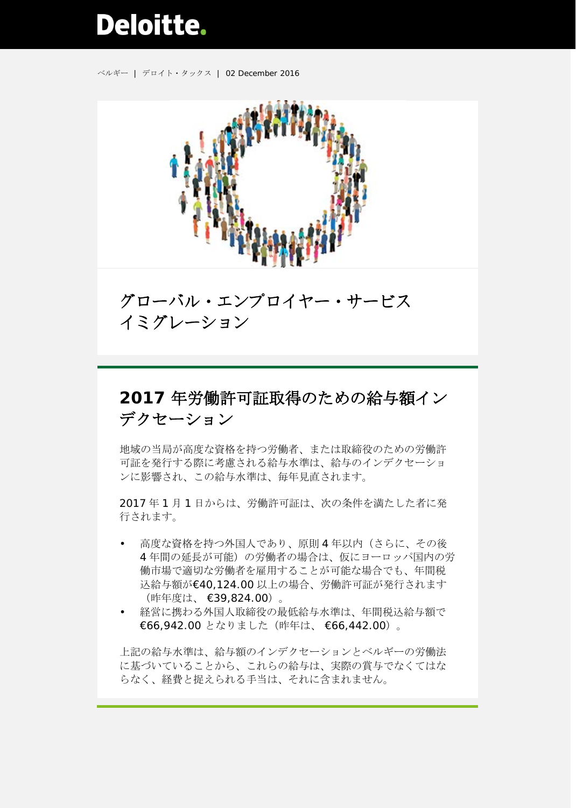## **Deloitte.**

ベルギー | デロイト・タックス | 02 December 2016



グローバル・エンプロイヤー・サービス イミグレーション

## **2017** 年労働許可証取得のための給与額イン デクセーション

地域の当局が高度な資格を持つ労働者、または取締役のための労働許 可証を発行する際に考慮される給与水準は、給与のインデクセーショ ンに影響され、この給与水準は、毎年見直されます。

2017 年 1 月 1 日からは、労働許可証は、次の条件を満たした者に発 行されます。

- 高度な資格を持つ外国人であり、原則4年以内(さらに、その後 4年間の延長が可能)の労働者の場合は、仮にヨーロッパ国内の労 働市場で適切な労働者を雇用することが可能な場合でも、年間税 込給与額が€40,124.00 以上の場合、労働許可証が発行されます (昨年度は、 €39,824.00)。
- 経営に携わる外国人取締役の最低給与水準は、年間税込給与額で €66,942.00 となりました(昨年は、 €66,442.00)。

上記の給与水準は、給与額のインデクセーションとベルギーの労働法 に基づいていることから、これらの給与は、実際の賞与でなくてはな らなく、経費と捉えられる手当は、それに含まれません。